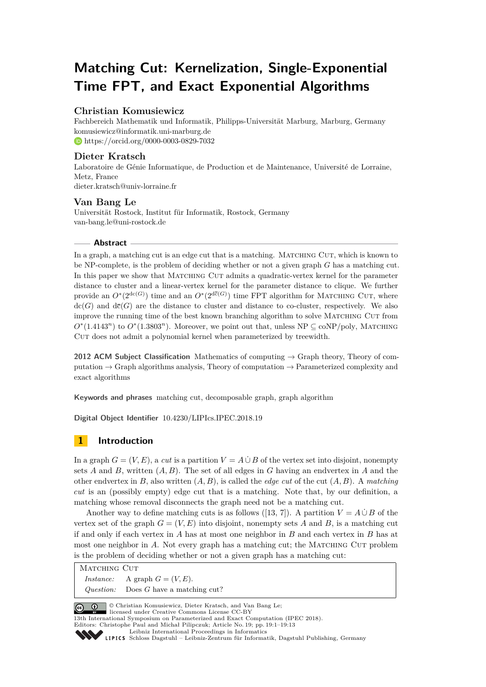# **Matching Cut: Kernelization, Single-Exponential Time FPT, and Exact Exponential Algorithms**

### **Christian Komusiewicz**

Fachbereich Mathematik und Informatik, Philipps-Universität Marburg, Marburg, Germany [komusiewicz@informatik.uni-marburg.de](mailto:komusiewicz@informatik.uni-marburg.de) <https://orcid.org/0000-0003-0829-7032>

### **Dieter Kratsch**

Laboratoire de Génie Informatique, de Production et de Maintenance, Université de Lorraine, Metz, France [dieter.kratsch@univ-lorraine.fr](mailto:dieter.kratsch@univ-lorraine.fr)

## **Van Bang Le**

Universität Rostock, Institut für Informatik, Rostock, Germany [van-bang.le@uni-rostock.de](mailto:van-bang.le@uni-rostock.de)

### **Abstract**

In a graph, a matching cut is an edge cut that is a matching. MATCHING CUT, which is known to be NP-complete, is the problem of deciding whether or not a given graph *G* has a matching cut. In this paper we show that MATCHING CUT admits a quadratic-vertex kernel for the parameter distance to cluster and a linear-vertex kernel for the parameter distance to clique. We further provide an  $O^*(2^{d c(G)})$  time and an  $O^*(2^{d \bar{c}(G)})$  time FPT algorithm for MATCHING CUT, where  $\text{dc}(G)$  and  $\text{d}\bar{\text{c}}(G)$  are the distance to cluster and distance to co-cluster, respectively. We also improve the running time of the best known branching algorithm to solve Matching Cut from  $O^*(1.4143^n)$  to  $O^*(1.3803^n)$ . Moreover, we point out that, unless NP  $\subseteq$  coNP/poly, MATCHING CUT does not admit a polynomial kernel when parameterized by treewidth.

**2012 ACM Subject Classification** Mathematics of computing → Graph theory, Theory of computation  $\rightarrow$  Graph algorithms analysis, Theory of computation  $\rightarrow$  Parameterized complexity and exact algorithms

**Keywords and phrases** matching cut, decomposable graph, graph algorithm

**Digital Object Identifier** [10.4230/LIPIcs.IPEC.2018.19](https://doi.org/10.4230/LIPIcs.IPEC.2018.19)

# **1 Introduction**

In a graph  $G = (V, E)$ , a *cut* is a partition  $V = A \cup B$  of the vertex set into disjoint, nonempty sets *A* and *B*, written (*A, B*). The set of all edges in *G* having an endvertex in *A* and the other endvertex in *B*, also written (*A, B*), is called the *edge cut* of the cut (*A, B*). A *matching cut* is an (possibly empty) edge cut that is a matching. Note that, by our definition, a matching whose removal disconnects the graph need not be a matching cut.

Another way to define matching cuts is as follows ([\[13,](#page-12-0) [7\]](#page-12-1)). A partition  $V = A \cup B$  of the vertex set of the graph  $G = (V, E)$  into disjoint, nonempty sets A and B, is a matching cut if and only if each vertex in *A* has at most one neighbor in *B* and each vertex in *B* has at most one neighbor in A. Not every graph has a matching cut; the MATCHING CUT problem is the problem of deciding whether or not a given graph has a matching cut:

MATCHING CUT *Instance:* A graph  $G = (V, E)$ . *Question:* Does *G* have a matching cut?

© Christian Komusiewicz, Dieter Kratsch, and Van Bang Le;

licensed under Creative Commons License CC-BY

13th International Symposium on Parameterized and Exact Computation (IPEC 2018). Editors: Christophe Paul and Michał Pilipczuk; Article No. 19; pp. 19:1–19[:13](#page-12-2)

[Leibniz International Proceedings in Informatics](http://www.dagstuhl.de/lipics/)

```
Schloss Dagstuhl – Leibniz-Zentrum für Informatik, Dagstuhl Publishing, Germany
```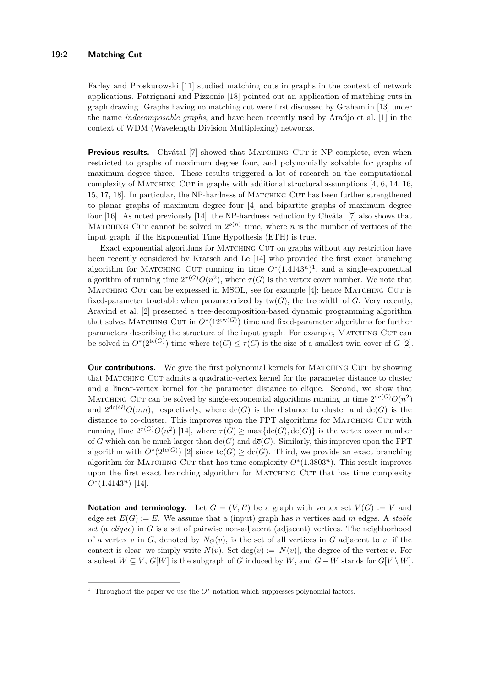### **19:2 Matching Cut**

Farley and Proskurowski [\[11\]](#page-12-3) studied matching cuts in graphs in the context of network applications. Patrignani and Pizzonia [\[18\]](#page-12-4) pointed out an application of matching cuts in graph drawing. Graphs having no matching cut were first discussed by Graham in [\[13\]](#page-12-0) under the name *indecomposable graphs*, and have been recently used by Araújo et al. [\[1\]](#page-12-5) in the context of WDM (Wavelength Division Multiplexing) networks.

**Previous results.** Chvátal [\[7\]](#page-12-1) showed that MATCHING CUT is NP-complete, even when restricted to graphs of maximum degree four, and polynomially solvable for graphs of maximum degree three. These results triggered a lot of research on the computational complexity of MATCHING CUT in graphs with additional structural assumptions  $[4, 6, 14, 16,$  $[4, 6, 14, 16,$  $[4, 6, 14, 16,$  $[4, 6, 14, 16,$  $[4, 6, 14, 16,$  $[4, 6, 14, 16,$  $[4, 6, 14, 16,$ [15,](#page-12-10) [17,](#page-12-11) [18\]](#page-12-4). In particular, the NP-hardness of Matching Cut has been further strengthened to planar graphs of maximum degree four [\[4\]](#page-12-6) and bipartite graphs of maximum degree four [\[16\]](#page-12-9). As noted previously [\[14\]](#page-12-8), the NP-hardness reduction by Chvátal [\[7\]](#page-12-1) also shows that MATCHING CUT cannot be solved in  $2^{o(n)}$  time, where *n* is the number of vertices of the input graph, if the Exponential Time Hypothesis (ETH) is true.

Exact exponential algorithms for MATCHING CUT on graphs without any restriction have been recently considered by Kratsch and Le [\[14\]](#page-12-8) who provided the first exact branching algorithm for MATCHING CUT running in time  $O^*(1.4143^n)^1$  $O^*(1.4143^n)^1$  $O^*(1.4143^n)^1$ , and a single-exponential algorithm of running time  $2^{\tau(G)}O(n^2)$ , where  $\tau(G)$  is the vertex cover number. We note that MATCHING CUT can be expressed in MSOL, see for example [\[4\]](#page-12-6); hence MATCHING CUT is fixed-parameter tractable when parameterized by  $tw(G)$ , the treewidth of *G*. Very recently, Aravind et al. [\[2\]](#page-12-12) presented a tree-decomposition-based dynamic programming algorithm that solves MATCHING CUT in  $O^*(12^{\text{tw}(G)})$  time and fixed-parameter algorithms for further parameters describing the structure of the input graph. For example, Matching Cut can be solved in  $O^*(2^{tc(G)})$  time where  $tc(G) \leq \tau(G)$  is the size of a smallest twin cover of *G* [\[2\]](#page-12-12).

**Our contributions.** We give the first polynomial kernels for MATCHING CUT by showing that Matching Cut admits a quadratic-vertex kernel for the parameter distance to cluster and a linear-vertex kernel for the parameter distance to clique. Second, we show that MATCHING CUT can be solved by single-exponential algorithms running in time  $2^{dc(G)}O(n^2)$ and  $2^{d\bar{c}(G)}O(nm)$ , respectively, where  $dc(G)$  is the distance to cluster and  $d\bar{c}(G)$  is the distance to co-cluster. This improves upon the FPT algorithms for MATCHING CUT with running time  $2^{\tau(G)}O(n^2)$  [\[14\]](#page-12-8), where  $\tau(G) \ge \max\{\text{dc}(G),\text{d}\overline{c}(G)\}\$ is the vertex cover number of *G* which can be much larger than  $dc(G)$  and  $d\overline{c}(G)$ . Similarly, this improves upon the FPT algorithm with  $O^*(2^{tc(G)})$  [\[2\]](#page-12-12) since  $tc(G) \geq dc(G)$ . Third, we provide an exact branching algorithm for MATCHING CUT that has time complexity  $O<sup>*</sup>(1.3803<sup>n</sup>)$ . This result improves upon the first exact branching algorithm for MATCHING CUT that has time complexity *O*<sup>∗</sup> (1*.*4143*<sup>n</sup>*) [\[14\]](#page-12-8).

**Notation and terminology.** Let  $G = (V, E)$  be a graph with vertex set  $V(G) := V$  and edge set  $E(G) := E$ . We assume that a (input) graph has *n* vertices and *m* edges. A *stable set* (a *clique*) in *G* is a set of pairwise non-adjacent (adjacent) vertices. The neighborhood of a vertex *v* in *G*, denoted by  $N_G(v)$ , is the set of all vertices in *G* adjacent to *v*; if the context is clear, we simply write  $N(v)$ . Set deg(*v*) :=  $|N(v)|$ , the degree of the vertex *v*. For a subset  $W \subseteq V$ ,  $G[W]$  is the subgraph of *G* induced by *W*, and  $G - W$  stands for  $G[V \setminus W]$ .

<span id="page-1-0"></span><sup>&</sup>lt;sup>1</sup> Throughout the paper we use the  $O^*$  notation which suppresses polynomial factors.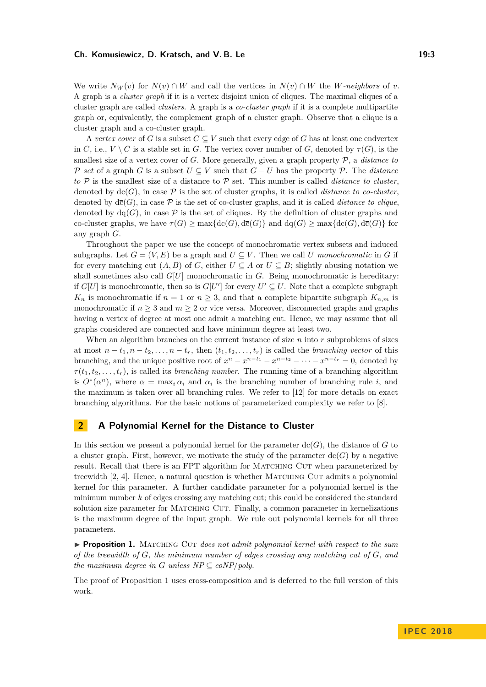#### **Ch. Komusiewicz, D. Kratsch, and V. B. Le 19:3** 19:3

We write  $N_W(v)$  for  $N(v) \cap W$  and call the vertices in  $N(v) \cap W$  the *W-neighbors* of *v*. A graph is a *cluster graph* if it is a vertex disjoint union of cliques. The maximal cliques of a cluster graph are called *clusters*. A graph is a *co-cluster graph* if it is a complete multipartite graph or, equivalently, the complement graph of a cluster graph. Observe that a clique is a cluster graph and a co-cluster graph.

A *vertex cover* of *G* is a subset  $C \subseteq V$  such that every edge of *G* has at least one endvertex in *C*, i.e.,  $V \setminus C$  is a stable set in *G*. The vertex cover number of *G*, denoted by  $\tau(G)$ , is the smallest size of a vertex cover of *G*. More generally, given a graph property P, a *distance to* P *set* of a graph *G* is a subset  $U \subseteq V$  such that  $G - U$  has the property P. The *distance to* P is the smallest size of a distance to P set. This number is called *distance to cluster*, denoted by  $\text{dc}(G)$ , in case  $\mathcal P$  is the set of cluster graphs, it is called *distance to co-cluster*, denoted by  $d\bar{c}(G)$ , in case  $\mathcal P$  is the set of co-cluster graphs, and it is called *distance to clique*, denoted by  $\text{dq}(G)$ , in case  $\mathcal P$  is the set of cliques. By the definition of cluster graphs and co-cluster graphs, we have  $\tau(G) \ge \max\{\text{dc}(G),\text{dc}(G)\}\$  and  $\text{dq}(G) \ge \max\{\text{dc}(G),\text{dc}(G)\}\$  for any graph *G*.

Throughout the paper we use the concept of monochromatic vertex subsets and induced subgraphs. Let  $G = (V, E)$  be a graph and  $U \subseteq V$ . Then we call *U* monochromatic in G if for every matching cut  $(A, B)$  of *G*, either  $U \subseteq A$  or  $U \subseteq B$ ; slightly abusing notation we shall sometimes also call  $G[U]$  monochromatic in  $G$ . Being monochromatic is hereditary: if  $G[U]$  is monochromatic, then so is  $G[U']$  for every  $U' \subseteq U$ . Note that a complete subgraph  $K_n$  is monochromatic if  $n = 1$  or  $n \geq 3$ , and that a complete bipartite subgraph  $K_{n,m}$  is monochromatic if  $n \geq 3$  and  $m \geq 2$  or vice versa. Moreover, disconnected graphs and graphs having a vertex of degree at most one admit a matching cut. Hence, we may assume that all graphs considered are connected and have minimum degree at least two.

When an algorithm branches on the current instance of size *n* into *r* subproblems of sizes at most  $n - t_1, n - t_2, \ldots, n - t_r$ , then  $(t_1, t_2, \ldots, t_r)$  is called the *branching vector* of this branching, and the unique positive root of  $x^n - x^{n-t_1} - x^{n-t_2} - \cdots - x^{n-t_r} = 0$ , denoted by  $\tau(t_1, t_2, \ldots, t_r)$ , is called its *branching number*. The running time of a branching algorithm is  $O^*(\alpha^n)$ , where  $\alpha = \max_i \alpha_i$  and  $\alpha_i$  is the branching number of branching rule *i*, and the maximum is taken over all branching rules. We refer to [\[12\]](#page-12-13) for more details on exact branching algorithms. For the basic notions of parameterized complexity we refer to [\[8\]](#page-12-14).

### **2 A Polynomial Kernel for the Distance to Cluster**

In this section we present a polynomial kernel for the parameter  $\text{dc}(G)$ , the distance of G to a cluster graph. First, however, we motivate the study of the parameter  $dc(G)$  by a negative result. Recall that there is an FPT algorithm for MATCHING CUT when parameterized by treewidth [\[2,](#page-12-12) [4\]](#page-12-6). Hence, a natural question is whether MATCHING CUT admits a polynomial kernel for this parameter. A further candidate parameter for a polynomial kernel is the minimum number *k* of edges crossing any matching cut; this could be considered the standard solution size parameter for MATCHING CUT. Finally, a common parameter in kernelizations is the maximum degree of the input graph. We rule out polynomial kernels for all three parameters.

<span id="page-2-0"></span>**Proposition 1.** MATCHING CUT *does not admit polynomial kernel with respect to the sum of the treewidth of G, the minimum number of edges crossing any matching cut of G, and the maximum degree in G unless NP*  $\subseteq$  *coNP*/*poly.* 

The proof of Proposition [1](#page-2-0) uses cross-composition and is deferred to the full version of this work.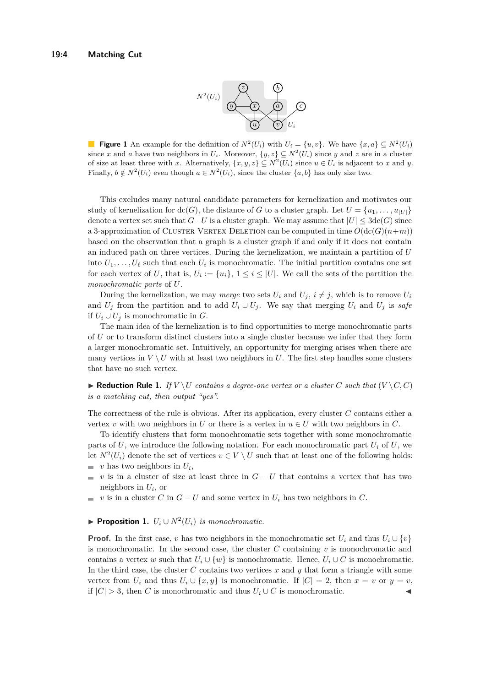

**Figure 1** An example for the definition of  $N^2(U_i)$  with  $U_i = \{u, v\}$ . We have  $\{x, a\} \subseteq N^2(U_i)$ since *x* and *a* have two neighbors in  $U_i$ . Moreover,  $\{y, z\} \subseteq N^2(U_i)$  since *y* and *z* are in a cluster of size at least three with *x*. Alternatively,  $\{x, y, z\} \subseteq N^2(U_i)$  since  $u \in U_i$  is adjacent to *x* and *y*. Finally,  $b \notin N^2(U_i)$  even though  $a \in N^2(U_i)$ , since the cluster  $\{a, b\}$  has only size two.

This excludes many natural candidate parameters for kernelization and motivates our study of kernelization for  $\text{dc}(G)$ , the distance of G to a cluster graph. Let  $U = \{u_1, \ldots, u_{|U|}\}\$ denote a vertex set such that  $G-U$  is a cluster graph. We may assume that  $|U| \leq 3\text{dc}(G)$  since a 3-approximation of CLUSTER VERTEX DELETION can be computed in time  $O(\text{dc}(G)(n+m))$ based on the observation that a graph is a cluster graph if and only if it does not contain an induced path on three vertices. During the kernelization, we maintain a partition of *U* into  $U_1, \ldots, U_\ell$  such that each  $U_i$  is monochromatic. The initial partition contains one set for each vertex of *U*, that is,  $U_i := \{u_i\}, 1 \leq i \leq |U|$ . We call the sets of the partition the *monochromatic parts* of *U*.

During the kernelization, we may *merge* two sets  $U_i$  and  $U_j$ ,  $i \neq j$ , which is to remove  $U_i$ and  $U_j$  from the partition and to add  $U_i \cup U_j$ . We say that merging  $U_i$  and  $U_j$  is safe if  $U_i ∪ U_j$  is monochromatic in *G*.

The main idea of the kernelization is to find opportunities to merge monochromatic parts of *U* or to transform distinct clusters into a single cluster because we infer that they form a larger monochromatic set. Intuitively, an opportunity for merging arises when there are many vertices in  $V \setminus U$  with at least two neighbors in U. The first step handles some clusters that have no such vertex.

<span id="page-3-1"></span> $\blacktriangleright$  **Reduction Rule 1.** *If*  $V \setminus U$  *contains a degree-one vertex or a cluster C such that*  $(V \setminus C, C)$ *is a matching cut, then output "yes".*

The correctness of the rule is obvious. After its application, every cluster *C* contains either a vertex *v* with two neighbors in *U* or there is a vertex in  $u \in U$  with two neighbors in *C*.

To identify clusters that form monochromatic sets together with some monochromatic parts of  $U$ , we introduce the following notation. For each monochromatic part  $U_i$  of  $U$ , we let  $N^2(U_i)$  denote the set of vertices  $v \in V \setminus U$  such that at least one of the following holds:

- *v* has two neighbors in *U<sup>i</sup>* ,
- *v* is in a cluster of size at least three in  $G U$  that contains a vertex that has two  $\overline{\phantom{a}}$ neighbors in *U<sup>i</sup>* , or
- *v* is in a cluster *C* in  $G U$  and some vertex in  $U_i$  has two neighbors in *C*.  $\equiv$

# <span id="page-3-0"></span>▶ **Proposition 1.**  $U_i$   $\cup$   $N^2(U_i)$  *is monochromatic.*

**Proof.** In the first case, *v* has two neighbors in the monochromatic set  $U_i$  and thus  $U_i \cup \{v\}$ is monochromatic. In the second case, the cluster *C* containing *v* is monochromatic and contains a vertex *w* such that  $U_i \cup \{w\}$  is monochromatic. Hence,  $U_i \cup C$  is monochromatic. In the third case, the cluster  $C$  contains two vertices  $x$  and  $y$  that form a triangle with some vertex from  $U_i$  and thus  $U_i \cup \{x, y\}$  is monochromatic. If  $|C| = 2$ , then  $x = v$  or  $y = v$ , if  $|C| > 3$ , then *C* is monochromatic and thus  $U_i \cup C$  is monochromatic.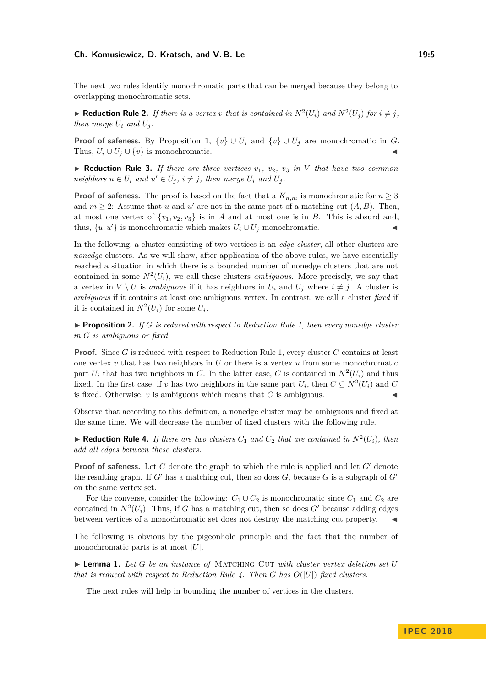#### **Ch. Komusiewicz, D. Kratsch, and V. B. Le 19:5** 19:5

The next two rules identify monochromatic parts that can be merged because they belong to overlapping monochromatic sets.

 $\blacktriangleright$  **Reduction Rule 2.** If there is a vertex v that is contained in  $N^2(U_i)$  and  $N^2(U_j)$  for  $i \neq j$ , *then merge*  $U_i$  *and*  $U_j$ .

**Proof of safeness.** By Proposition [1,](#page-3-0)  $\{v\} \cup U_i$  and  $\{v\} \cup U_j$  are monochromatic in *G*. Thus,  $U_i \cup U_j \cup \{v\}$  is monochromatic.

 $\blacktriangleright$  **Reduction Rule 3.** *If there are three vertices*  $v_1$ ,  $v_2$ ,  $v_3$  *in V that have two common neighbors*  $u \in U_i$  *and*  $u' \in U_j$ ,  $i \neq j$ , *then merge*  $U_i$  *and*  $U_j$ .

**Proof of safeness.** The proof is based on the fact that a  $K_{n,m}$  is monochromatic for  $n \geq 3$ and  $m \geq 2$ : Assume that *u* and *u'* are not in the same part of a matching cut  $(A, B)$ . Then, at most one vertex of  $\{v_1, v_2, v_3\}$  is in *A* and at most one is in *B*. This is absurd and, thus,  $\{u, u'\}$  is monochromatic which makes  $U_i \cup U_j$  monochromatic.

In the following, a cluster consisting of two vertices is an *edge cluster*, all other clusters are *nonedge* clusters. As we will show, after application of the above rules, we have essentially reached a situation in which there is a bounded number of nonedge clusters that are not contained in some  $N^2(U_i)$ , we call these clusters *ambiguous*. More precisely, we say that a vertex in  $V \setminus U$  is *ambiguous* if it has neighbors in  $U_i$  and  $U_j$  where  $i \neq j$ . A cluster is *ambiguous* if it contains at least one ambiguous vertex. In contrast, we call a cluster *fixed* if it is contained in  $N^2(U_i)$  for some  $U_i$ .

<span id="page-4-2"></span> $\triangleright$  **Proposition 2.** *If G is reduced with respect to Reduction Rule [1,](#page-3-1) then every nonedge cluster in G is ambiguous or fixed.*

**Proof.** Since *G* is reduced with respect to Reduction Rule [1,](#page-3-1) every cluster *C* contains at least one vertex  $v$  that has two neighbors in  $U$  or there is a vertex  $u$  from some monochromatic part  $U_i$  that has two neighbors in *C*. In the latter case, *C* is contained in  $N^2(U_i)$  and thus fixed. In the first case, if *v* has two neighbors in the same part  $U_i$ , then  $C \subseteq N^2(U_i)$  and  $C$ is fixed. Otherwise,  $v$  is ambiguous which means that  $C$  is ambiguous.

Observe that according to this definition, a nonedge cluster may be ambiguous and fixed at the same time. We will decrease the number of fixed clusters with the following rule.

<span id="page-4-0"></span> $\blacktriangleright$  **Reduction Rule 4.** *If there are two clusters*  $C_1$  *and*  $C_2$  *that are contained in*  $N^2(U_i)$ *, then add all edges between these clusters.*

**Proof of safeness.** Let  $G$  denote the graph to which the rule is applied and let  $G'$  denote the resulting graph. If  $G'$  has a matching cut, then so does  $G$ , because  $G$  is a subgraph of  $G'$ on the same vertex set.

For the converse, consider the following:  $C_1 \cup C_2$  is monochromatic since  $C_1$  and  $C_2$  are contained in  $N^2(U_i)$ . Thus, if *G* has a matching cut, then so does *G*<sup>*'*</sup> because adding edges between vertices of a monochromatic set does not destroy the matching cut property.

The following is obvious by the pigeonhole principle and the fact that the number of monochromatic parts is at most |*U*|.

<span id="page-4-1"></span> $\blacktriangleright$  **Lemma 1.** Let G be an instance of MATCHING CUT with cluster vertex deletion set U *that is reduced with respect to Reduction Rule* [4.](#page-4-0) Then *G* has  $O(|U|)$  *fixed clusters.* 

The next rules will help in bounding the number of vertices in the clusters.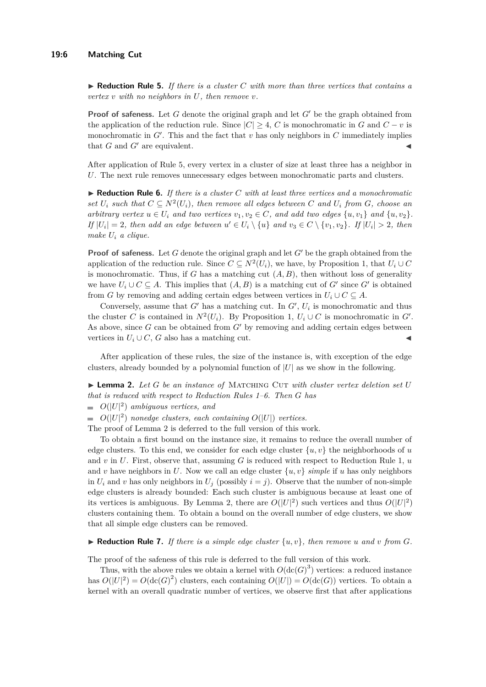<span id="page-5-0"></span>▶ **Reduction Rule 5.** *If there is a cluster C with more than three vertices that contains a vertex v with no neighbors in U, then remove v.*

**Proof of safeness.** Let *G* denote the original graph and let  $G'$  be the graph obtained from the application of the reduction rule. Since  $|C| \geq 4$ , *C* is monochromatic in *G* and  $C - v$  is monochromatic in  $G'$ . This and the fact that  $v$  has only neighbors in  $C$  immediately implies that  $G$  and  $G'$  are equivalent.

After application of Rule [5,](#page-5-0) every vertex in a cluster of size at least three has a neighbor in *U*. The next rule removes unnecessary edges between monochromatic parts and clusters.

<span id="page-5-1"></span> $\blacktriangleright$  **Reduction Rule 6.** *If there is a cluster C* with at least three vertices and a monochromatic *set*  $U_i$  *such that*  $C \subseteq N^2(U_i)$ *, then remove all edges between*  $C$  *and*  $U_i$  *from*  $G$ *, choose an arbitrary vertex*  $u \in U_i$  *and two vertices*  $v_1, v_2 \in C$ *, and add two edges*  $\{u, v_1\}$  *and*  $\{u, v_2\}$ *. If*  $|U_i| = 2$ *, then add an edge between*  $u' \in U_i \setminus \{u\}$  *and*  $v_3 \in C \setminus \{v_1, v_2\}$ *. If*  $|U_i| > 2$ *, then make U<sup>i</sup> a clique.*

**Proof of safeness.** Let *G* denote the original graph and let  $G'$  be the graph obtained from the application of the reduction rule. Since  $C \subseteq N^2(U_i)$ , we have, by Proposition [1,](#page-3-0) that  $U_i \cup C$ is monochromatic. Thus, if *G* has a matching cut  $(A, B)$ , then without loss of generality we have  $U_i \cup C \subseteq A$ . This implies that  $(A, B)$  is a matching cut of *G'* since *G'* is obtained from *G* by removing and adding certain edges between vertices in  $U_i \cup C \subseteq A$ .

Conversely, assume that  $G'$  has a matching cut. In  $G'$ ,  $U_i$  is monochromatic and thus the cluster *C* is contained in  $N^2(U_i)$ . By Proposition [1,](#page-3-0)  $U_i \cup C$  is monochromatic in  $G'$ . As above, since  $G$  can be obtained from  $G'$  by removing and adding certain edges between vertices in  $U_i \cup C$ , *G* also has a matching cut.

After application of these rules, the size of the instance is, with exception of the edge clusters, already bounded by a polynomial function of  $|U|$  as we show in the following.

<span id="page-5-2"></span> $\blacktriangleright$  **Lemma 2.** Let G be an instance of MATCHING CUT with cluster vertex deletion set U *that is reduced with respect to Reduction Rules [1–](#page-3-1)[6.](#page-5-1) Then G has*

 $O(|U|^2)$  *ambiguous vertices, and* 

 $O(|U|^2)$  *nonedge clusters, each containing*  $O(|U|)$  *vertices.* 

The proof of Lemma [2](#page-5-2) is deferred to the full version of this work.

To obtain a first bound on the instance size, it remains to reduce the overall number of edge clusters. To this end, we consider for each edge cluster  $\{u, v\}$  the neighborhoods of *u* and *v* in *U*. First, observe that, assuming *G* is reduced with respect to Reduction Rule [1,](#page-3-1) *u* and *v* have neighbors in *U*. Now we call an edge cluster  $\{u, v\}$  *simple* if *u* has only neighbors in  $U_i$  and  $v$  has only neighbors in  $U_j$  (possibly  $i = j$ ). Observe that the number of non-simple edge clusters is already bounded: Each such cluster is ambiguous because at least one of its vertices is ambiguous. By Lemma [2,](#page-5-2) there are  $O(|U|^2)$  such vertices and thus  $O(|U|^2)$ clusters containing them. To obtain a bound on the overall number of edge clusters, we show that all simple edge clusters can be removed.

#### <span id="page-5-3"></span> $\blacktriangleright$  **Reduction Rule 7.** If there is a simple edge cluster  $\{u, v\}$ , then remove *u* and *v* from *G*.

The proof of the safeness of this rule is deferred to the full version of this work.

Thus, with the above rules we obtain a kernel with  $O(\text{dc}(G)^3)$  vertices: a reduced instance has  $O(|U|^2) = O(\text{dc}(G)^2)$  clusters, each containing  $O(|U|) = O(\text{dc}(G))$  vertices. To obtain a kernel with an overall quadratic number of vertices, we observe first that after applications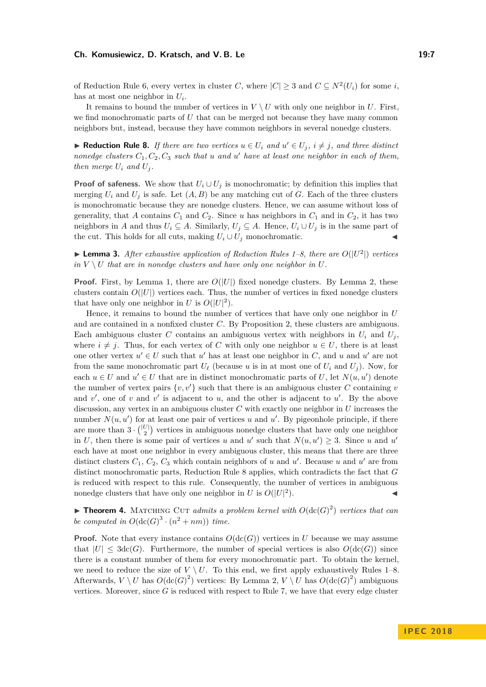#### **Ch. Komusiewicz, D. Kratsch, and V. B. Le 19:7** 19:7

of Reduction Rule [6,](#page-5-1) every vertex in cluster *C*, where  $|C| \geq 3$  and  $C \subseteq N^2(U_i)$  for some *i*, has at most one neighbor in *U<sup>i</sup>* .

It remains to bound the number of vertices in  $V \setminus U$  with only one neighbor in *U*. First, we find monochromatic parts of *U* that can be merged not because they have many common neighbors but, instead, because they have common neighbors in several nonedge clusters.

<span id="page-6-0"></span>▶ **Reduction Rule 8.** *If there are two vertices*  $u \in U_i$  *and*  $u' \in U_j$ *,*  $i \neq j$ *, and three distinct nonedge clusters*  $C_1, C_2, C_3$  *such that*  $u$  *and*  $u'$  *have at least one neighbor in each of them, then merge*  $U_i$  *and*  $U_j$ *.* 

**Proof of safeness.** We show that  $U_i \cup U_j$  is monochromatic; by definition this implies that merging  $U_i$  and  $U_j$  is safe. Let  $(A, B)$  be any matching cut of *G*. Each of the three clusters is monochromatic because they are nonedge clusters. Hence, we can assume without loss of generality, that *A* contains  $C_1$  and  $C_2$ . Since *u* has neighbors in  $C_1$  and in  $C_2$ , it has two neighbors in *A* and thus  $U_i \subseteq A$ . Similarly,  $U_j \subseteq A$ . Hence,  $U_i \cup U_j$  is in the same part of the cut. This holds for all cuts, making  $U_i \cup U_j$  monochromatic.

<span id="page-6-1"></span> $\blacktriangleright$  **Lemma 3.** *After exhaustive application of Reduction Rules* [1–](#page-3-1)[8,](#page-6-0) *there are*  $O(|U^2|)$  *vertices*  $in V \setminus U$  *that are in nonedge clusters and have only one neighbor in*  $U$ *.* 

**Proof.** First, by Lemma [1,](#page-4-1) there are  $O(|U|)$  fixed nonedge clusters. By Lemma [2,](#page-5-2) these clusters contain  $O(|U|)$  vertices each. Thus, the number of vertices in fixed nonedge clusters that have only one neighbor in *U* is  $O(|U|^2)$ .

Hence, it remains to bound the number of vertices that have only one neighbor in *U* and are contained in a nonfixed cluster *C*. By Proposition [2,](#page-4-2) these clusters are ambiguous. Each ambiguous cluster C contains an ambiguous vertex with neighbors in  $U_i$  and  $U_j$ , where  $i \neq j$ . Thus, for each vertex of *C* with only one neighbor  $u \in U$ , there is at least one other vertex  $u' \in U$  such that  $u'$  has at least one neighbor in *C*, and *u* and  $u'$  are not from the same monochromatic part  $U_\ell$  (because *u* is in at most one of  $U_i$  and  $U_j$ ). Now, for each  $u \in U$  and  $u' \in U$  that are in distinct monochromatic parts of *U*, let  $N(u, u')$  denote the number of vertex pairs  $\{v, v'\}$  such that there is an ambiguous cluster *C* containing *v* and  $v'$ , one of  $v$  and  $v'$  is adjacent to  $u$ , and the other is adjacent to  $u'$ . By the above discussion, any vertex in an ambiguous cluster *C* with exactly one neighbor in *U* increases the number  $N(u, u')$  for at least one pair of vertices *u* and  $u'$ . By pigeonhole principle, if there are more than  $3 \cdot \binom{|U|}{2}$  vertices in ambiguous nonedge clusters that have only one neighbor in *U*, then there is some pair of vertices *u* and *u'* such that  $N(u, u') \geq 3$ . Since *u* and *u'* each have at most one neighbor in every ambiguous cluster, this means that there are three distinct clusters  $C_1$ ,  $C_2$ ,  $C_3$  which contain neighbors of *u* and *u'*. Because *u* and *u'* are from distinct monochromatic parts, Reduction Rule [8](#page-6-0) applies, which contradicts the fact that *G* is reduced with respect to this rule. Consequently, the number of vertices in ambiguous nonedge clusters that have only one neighbor in  $U$  is  $O(|U|^2)$  $\blacksquare$ ).

**Findment 4.** MATCHING CUT *admits a problem kernel with*  $O(\text{dc}(G)^2)$  vertices that can *be computed in*  $O(\text{dc}(G)^3 \cdot (n^2 + nm))$  *time.* 

**Proof.** Note that every instance contains  $O(\text{dc}(G))$  vertices in *U* because we may assume that  $|U| \leq 3\text{dc}(G)$ . Furthermore, the number of special vertices is also  $O(\text{dc}(G))$  since there is a constant number of them for every monochromatic part. To obtain the kernel, we need to reduce the size of  $V \setminus U$ . To this end, we first apply exhaustively Rules [1–](#page-3-1)[8.](#page-6-0) Afterwards,  $V \setminus U$  has  $O(\text{dc}(G)^2)$  vertices: By Lemma [2,](#page-5-2)  $V \setminus U$  has  $O(\text{dc}(G)^2)$  ambiguous vertices. Moreover, since  $G$  is reduced with respect to Rule  $7$ , we have that every edge cluster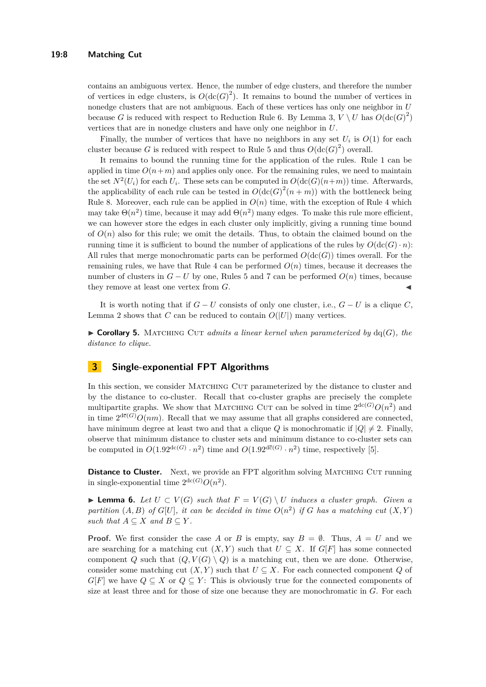contains an ambiguous vertex. Hence, the number of edge clusters, and therefore the number of vertices in edge clusters, is  $O(\text{dc}(G)^2)$ . It remains to bound the number of vertices in nonedge clusters that are not ambiguous. Each of these vertices has only one neighbor in *U* because *G* is reduced with respect to Reduction Rule [6.](#page-5-1) By Lemma [3,](#page-6-1)  $V \setminus U$  has  $O(\text{dc}(G)^2)$ vertices that are in nonedge clusters and have only one neighbor in *U*.

Finally, the number of vertices that have no neighbors in any set  $U_i$  is  $O(1)$  for each cluster because *G* is reduced with respect to Rule [5](#page-5-0) and thus  $O(\text{dc}(G)^2)$  overall.

It remains to bound the running time for the application of the rules. Rule [1](#page-3-1) can be applied in time  $O(n+m)$  and applies only once. For the remaining rules, we need to maintain the set  $N^2(U_i)$  for each  $U_i$ . These sets can be computed in  $O(\text{dc}(G)(n+m))$  time. Afterwards, the applicability of each rule can be tested in  $O(\text{dc}(G)^2(n+m))$  with the bottleneck being Rule [8.](#page-6-0) Moreover, each rule can be applied in  $O(n)$  time, with the exception of Rule [4](#page-4-0) which may take  $\Theta(n^2)$  time, because it may add  $\Theta(n^2)$  many edges. To make this rule more efficient, we can however store the edges in each cluster only implicitly, giving a running time bound of  $O(n)$  also for this rule; we omit the details. Thus, to obtain the claimed bound on the running time it is sufficient to bound the number of applications of the rules by  $O(\text{dc}(G) \cdot n)$ : All rules that merge monochromatic parts can be performed  $O(\text{dc}(G))$  times overall. For the remaining rules, we have that Rule [4](#page-4-0) can be performed  $O(n)$  times, because it decreases the number of clusters in  $G - U$  by one, Rules [5](#page-5-0) and [7](#page-5-3) can be performed  $O(n)$  times, because they remove at least one vertex from *G*. J

It is worth noting that if  $G - U$  consists of only one cluster, i.e.,  $G - U$  is a clique  $C$ , Lemma [2](#page-5-2) shows that *C* can be reduced to contain  $O(|U|)$  many vertices.

 $\triangleright$  **Corollary 5.** MATCHING CUT *admits a linear kernel when parameterized by* dq(*G*)*, the distance to clique.*

### <span id="page-7-1"></span>**3 Single-exponential FPT Algorithms**

In this section, we consider MATCHING CUT parameterized by the distance to cluster and by the distance to co-cluster. Recall that co-cluster graphs are precisely the complete multipartite graphs. We show that MATCHING CUT can be solved in time  $2^{dc(G)}O(n^2)$  and in time  $2^{d\bar{c}(G)}O(nm)$ . Recall that we may assume that all graphs considered are connected, have minimum degree at least two and that a clique *Q* is monochromatic if  $|Q| \neq 2$ . Finally, observe that minimum distance to cluster sets and minimum distance to co-cluster sets can be computed in  $O(1.92^{\text{dc}(G)} \cdot n^2)$  time and  $O(1.92^{\text{d}\bar{c}(G)} \cdot n^2)$  time, respectively [\[5\]](#page-12-15).

**Distance to Cluster.** Next, we provide an FPT algorithm solving MATCHING CUT running in single-exponential time  $2^{\text{dc}(G)}O(n^2)$ .

<span id="page-7-0"></span>▶ **Lemma 6.** Let  $U \subset V(G)$  such that  $F = V(G) \setminus U$  induces a cluster graph. Given a *partition*  $(A, B)$  *of*  $G[U]$ *, it can be decided in time*  $O(n^2)$  *if G has a matching cut*  $(X, Y)$ *such that*  $A \subseteq X$  *and*  $B \subseteq Y$ *.* 

**Proof.** We first consider the case A or B is empty, say  $B = \emptyset$ . Thus,  $A = U$  and we are searching for a matching cut  $(X, Y)$  such that  $U \subseteq X$ . If  $G[F]$  has some connected component *Q* such that  $(Q, V(G) \setminus Q)$  is a matching cut, then we are done. Otherwise, consider some matching cut  $(X, Y)$  such that  $U \subseteq X$ . For each connected component *Q* of  $G[F]$  we have  $Q \subseteq X$  or  $Q \subseteq Y$ : This is obviously true for the connected components of size at least three and for those of size one because they are monochromatic in *G*. For each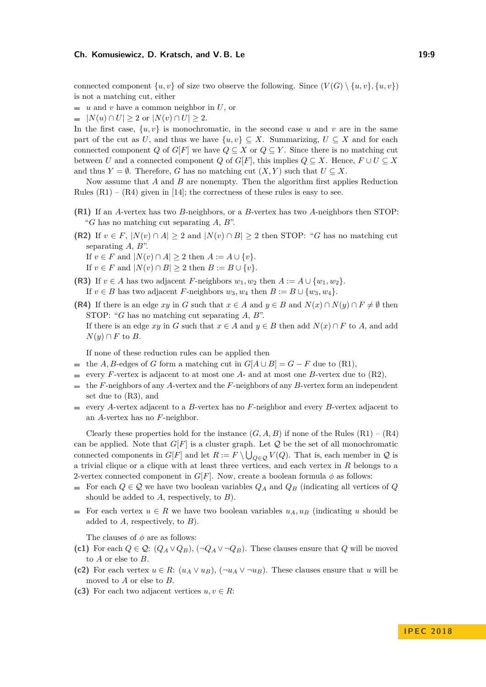#### **Ch. Komusiewicz, D. Kratsch, and V. B. Le 19:9 19:9 19:9**

connected component  $\{u, v\}$  of size two observe the following. Since  $(V(G) \setminus \{u, v\}, \{u, v\})$ is not a matching cut, either

- $\blacksquare$  *u* and *v* have a common neighbor in *U*, or
- $|N(u) \cap U| \geq 2$  or  $|N(v) \cap U| \geq 2$ .  $\blacksquare$

In the first case,  $\{u, v\}$  is monochromatic, in the second case  $u$  and  $v$  are in the same part of the cut as *U*, and thus we have  $\{u, v\} \subset X$ . Summarizing,  $U \subset X$  and for each connected component *Q* of *G*[*F*] we have  $Q \subseteq X$  or  $Q \subseteq Y$ . Since there is no matching cut between *U* and a connected component *Q* of *G*[*F*], this implies  $Q \subseteq X$ . Hence,  $F \cup U \subseteq X$ and thus  $Y = \emptyset$ . Therefore, *G* has no matching cut  $(X, Y)$  such that  $U \subseteq X$ .

Now assume that *A* and *B* are nonempty. Then the algorithm first applies Reduction Rules  $(R1) - (R4)$  given in [\[14\]](#page-12-8); the correctness of these rules is easy to see.

- **(R1)** If an *A*-vertex has two *B*-neighbors, or a *B*-vertex has two *A*-neighbors then STOP: "*G* has no matching cut separating *A*, *B*".
- **(R2)** If  $v \in F$ ,  $|N(v) \cap A| \ge 2$  and  $|N(v) \cap B| \ge 2$  then STOP: "*G* has no matching cut separating *A*, *B*". If *v* ∈ *F* and  $|N(v) \cap A|$  > 2 then *A* := *A* ∪ {*v*}.

If  $v \in F$  and  $|N(v) \cap B| \geq 2$  then  $B := B \cup \{v\}.$ 

- **(R3)** If  $v \in A$  has two adjacent *F*-neighbors  $w_1, w_2$  then  $A := A \cup \{w_1, w_2\}$ . If  $v \in B$  has two adjacent *F*-neighbors  $w_3, w_4$  then  $B := B \cup \{w_3, w_4\}.$
- **(R4)** If there is an edge *xy* in *G* such that  $x \in A$  and  $y \in B$  and  $N(x) \cap N(y) \cap F \neq \emptyset$  then STOP: "*G* has no matching cut separating *A*, *B*". If there is an edge  $xy$  in *G* such that  $x \in A$  and  $y \in B$  then add  $N(x) \cap F$  to *A*, and add  $N(y) \cap F$  to *B*.

If none of these reduction rules can be applied then

- the *A*, *B*-edges of *G* form a matching cut in  $G[A \cup B] = G F$  due to (R1),
- every *F*-vertex is adjacent to at most one *A* and at most one *B*-vertex due to  $(R2)$ ,
- the *F*-neighbors of any *A*-vertex and the *F*-neighbors of any *B*-vertex form an independent  $\mathcal{L}_{\mathcal{A}}$ set due to (R3), and
- every *A*-vertex adjacent to a *B*-vertex has no *F*-neighbor and every *B*-vertex adjacent to an *A*-vertex has no *F*-neighbor.

Clearly these properties hold for the instance  $(G, A, B)$  if none of the Rules  $(R1) - (R4)$ can be applied. Note that  $G[F]$  is a cluster graph. Let  $\mathcal Q$  be the set of all monochromatic connected components in  $G[F]$  and let  $R := F \setminus \bigcup_{Q \in \mathcal{Q}} V(Q)$ . That is, each member in  $\mathcal{Q}$  is a trivial clique or a clique with at least three vertices, and each vertex in *R* belongs to a 2-vertex connected component in  $G[F]$ . Now, create a boolean formula  $\phi$  as follows:

- For each  $Q \in \mathcal{Q}$  we have two boolean variables  $Q_A$  and  $Q_B$  (indicating all vertices of  $Q$ should be added to *A*, respectively, to *B*).
- For each vertex  $u \in R$  we have two boolean variables  $u_A, u_B$  (indicating *u* should be added to *A*, respectively, to *B*).

The clauses of  $\phi$  are as follows:

- (c1) For each  $Q \in \mathcal{Q}: (Q_A \vee Q_B), (\neg Q_A \vee \neg Q_B)$ . These clauses ensure that *Q* will be moved to *A* or else to *B*.
- (c2) For each vertex  $u \in R$ :  $(u_A \vee u_B)$ ,  $(\neg u_A \vee \neg u_B)$ . These clauses ensure that *u* will be moved to *A* or else to *B*.
- (c3) For each two adjacent vertices  $u, v \in R$ :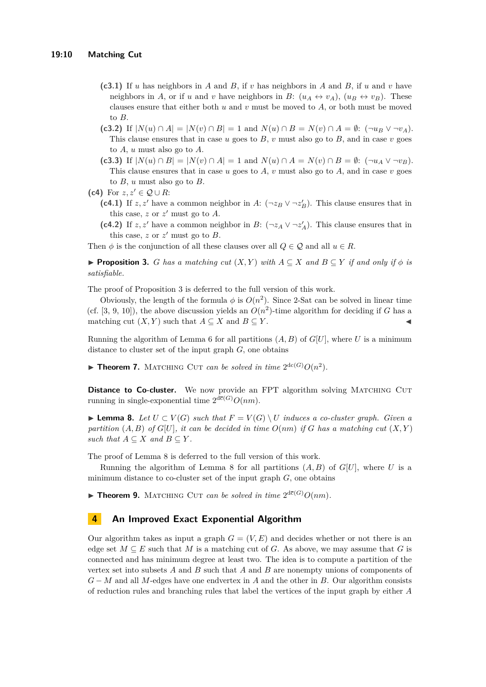- **(c3.1)** If *u* has neighbors in *A* and *B*, if *v* has neighbors in *A* and *B*, if *u* and *v* have neighbors in *A*, or if *u* and *v* have neighbors in *B*:  $(u_A \leftrightarrow v_A)$ ,  $(u_B \leftrightarrow v_B)$ . These clauses ensure that either both *u* and *v* must be moved to *A*, or both must be moved to *B*.
- **(c3.2)** If  $|N(u) \cap A| = |N(v) \cap B| = 1$  and  $N(u) \cap B = N(v) \cap A = \emptyset$ :  $(\neg u_B \lor \neg v_A)$ . This clause ensures that in case  $u$  goes to  $B$ ,  $v$  must also go to  $B$ , and in case  $v$  goes to *A*, *u* must also go to *A*.
- **(c3.3)** If  $|N(u) \cap B| = |N(v) \cap A| = 1$  and  $N(u) \cap A = N(v) \cap B = \emptyset$ :  $(\neg u_A \vee \neg v_B)$ . This clause ensures that in case *u* goes to *A*, *v* must also go to *A*, and in case *v* goes to *B*, *u* must also go to *B*.

(c4) For 
$$
z, z' \in \mathcal{Q} \cup R
$$
:

- (c4.1) If *z, z'* have a common neighbor in *A*:  $(\neg z_B \lor \neg z'_B)$ . This clause ensures that in this case,  $z$  or  $z'$  must go to  $A$ .
- (c4.2) If *z, z'* have a common neighbor in *B*:  $(\neg z_A \lor \neg z'_A)$ . This clause ensures that in this case,  $z$  or  $z'$  must go to  $B$ .

Then  $\phi$  is the conjunction of all these clauses over all  $Q \in \mathcal{Q}$  and all  $u \in R$ .

<span id="page-9-0"></span>**► Proposition 3.** *G has a matching cut*  $(X, Y)$  *with*  $A ⊆ X$  *and*  $B ⊆ Y$  *if and only if*  $\phi$  *is satisfiable.*

The proof of Proposition [3](#page-9-0) is deferred to the full version of this work.

Obviously, the length of the formula  $\phi$  is  $O(n^2)$ . Since 2-Sat can be solved in linear time (cf. [\[3,](#page-12-16) [9,](#page-12-17) [10\]](#page-12-18)), the above discussion yields an  $O(n^2)$ -time algorithm for deciding if *G* has a matching cut  $(X, Y)$  such that  $A \subseteq X$  and  $B \subseteq Y$ .

Running the algorithm of Lemma [6](#page-7-0) for all partitions  $(A, B)$  of  $G[U]$ , where U is a minimum distance to cluster set of the input graph *G*, one obtains

**Fineorem 7.** MATCHING CUT *can be solved in time*  $2^{dc(G)}O(n^2)$ *.* 

**Distance to Co-cluster.** We now provide an FPT algorithm solving MATCHING CUT running in single-exponential time  $2^{d\bar{c}(G)}O(nm)$ .

<span id="page-9-1"></span>▶ **Lemma 8.** Let  $U \subset V(G)$  such that  $F = V(G) \setminus U$  induces a co-cluster graph. Given a *partition*  $(A, B)$  *of*  $G[U]$ *, it can be decided in time*  $O(nm)$  *if*  $G$  *has a matching cut*  $(X, Y)$ *such that*  $A \subseteq X$  *and*  $B \subseteq Y$ *.* 

The proof of Lemma [8](#page-9-1) is deferred to the full version of this work.

Running the algorithm of Lemma [8](#page-9-1) for all partitions  $(A, B)$  of  $G[U]$ , where U is a minimum distance to co-cluster set of the input graph *G*, one obtains

**Fineorem 9.** MATCHING CUT *can be solved in time*  $2^{d\bar{c}(G)}O(nm)$ *.* 

### **4 An Improved Exact Exponential Algorithm**

Our algorithm takes as input a graph  $G = (V, E)$  and decides whether or not there is an edge set  $M \subseteq E$  such that *M* is a matching cut of *G*. As above, we may assume that *G* is connected and has minimum degree at least two. The idea is to compute a partition of the vertex set into subsets *A* and *B* such that *A* and *B* are nonempty unions of components of *G* − *M* and all *M*-edges have one endvertex in *A* and the other in *B*. Our algorithm consists of reduction rules and branching rules that label the vertices of the input graph by either *A*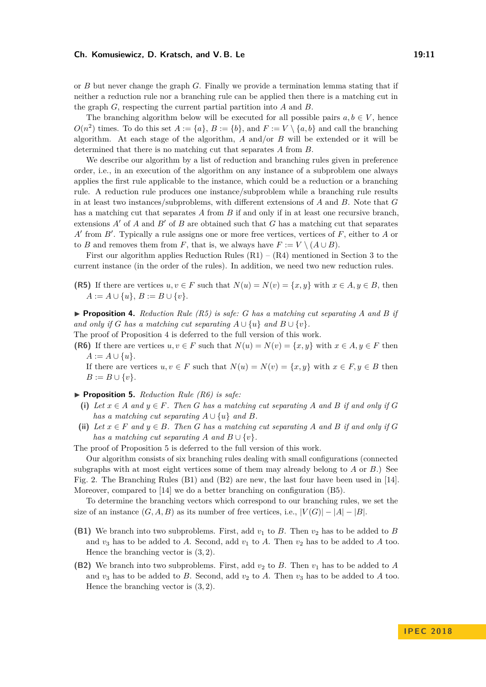#### **Ch. Komusiewicz, D. Kratsch, and V. B. Le 19:11**

or *B* but never change the graph *G*. Finally we provide a termination lemma stating that if neither a reduction rule nor a branching rule can be applied then there is a matching cut in the graph *G*, respecting the current partial partition into *A* and *B*.

The branching algorithm below will be executed for all possible pairs  $a, b \in V$ , hence  $O(n^2)$  times. To do this set  $A := \{a\}, B := \{b\}$ , and  $F := V \setminus \{a, b\}$  and call the branching algorithm. At each stage of the algorithm, *A* and/or *B* will be extended or it will be determined that there is no matching cut that separates *A* from *B*.

We describe our algorithm by a list of reduction and branching rules given in preference order, i.e., in an execution of the algorithm on any instance of a subproblem one always applies the first rule applicable to the instance, which could be a reduction or a branching rule. A reduction rule produces one instance/subproblem while a branching rule results in at least two instances/subproblems, with different extensions of *A* and *B*. Note that *G* has a matching cut that separates *A* from *B* if and only if in at least one recursive branch, extensions  $A'$  of  $A$  and  $B'$  of  $B$  are obtained such that  $G$  has a matching cut that separates *A*<sup> $\prime$ </sup> from *B*<sup> $\prime$ </sup>. Typically a rule assigns one or more free vertices, vertices of *F*, either to *A* or to *B* and removes them from *F*, that is, we always have  $F := V \setminus (A \cup B)$ .

First our algorithm applies Reduction Rules  $(R1) - (R4)$  mentioned in Section [3](#page-7-1) to the current instance (in the order of the rules). In addition, we need two new reduction rules.

**(R5)** If there are vertices  $u, v \in F$  such that  $N(u) = N(v) = \{x, y\}$  with  $x \in A, y \in B$ , then *A* := *A* ∪ {*u*}, *B* := *B* ∪ {*v*}.

<span id="page-10-0"></span> $\triangleright$  **Proposition 4.** Reduction Rule (R5) is safe: G has a matching cut separating A and B if *and only if G has a matching cut separating*  $A \cup \{u\}$  *and*  $B \cup \{v\}$ *.* 

The proof of Proposition [4](#page-10-0) is deferred to the full version of this work.

**(R6)** If there are vertices  $u, v \in F$  such that  $N(u) = N(v) = \{x, y\}$  with  $x \in A, y \in F$  then  $A := A \cup \{u\}.$ 

If there are vertices  $u, v \in F$  such that  $N(u) = N(v) = \{x, y\}$  with  $x \in F, y \in B$  then  $B := B \cup \{v\}.$ 

<span id="page-10-1"></span>▶ **Proposition 5.** *Reduction Rule (R6) is safe:* 

- (i) Let  $x \in A$  and  $y \in F$ . Then G has a matching cut separating A and B if and only if G *has a matching cut separating*  $A \cup \{u\}$  *and*  $B$ *.*
- (ii) Let  $x \in F$  and  $y \in B$ . Then G has a matching cut separating A and B if and only if G *has a matching cut separating A and*  $B \cup \{v\}$ *.*

The proof of Proposition [5](#page-10-1) is deferred to the full version of this work.

Our algorithm consists of six branching rules dealing with small configurations (connected subgraphs with at most eight vertices some of them may already belong to *A* or *B*.) See Fig. [2.](#page-11-0) The Branching Rules (B1) and (B2) are new, the last four have been used in [\[14\]](#page-12-8). Moreover, compared to [\[14\]](#page-12-8) we do a better branching on configuration (B5).

To determine the branching vectors which correspond to our branching rules, we set the size of an instance  $(G, A, B)$  as its number of free vertices, i.e.,  $|V(G)| - |A| - |B|$ .

- **(B1)** We branch into two subproblems. First, add  $v_1$  to  $B$ . Then  $v_2$  has to be added to  $B$ and  $v_3$  has to be added to *A*. Second, add  $v_1$  to *A*. Then  $v_2$  has to be added to *A* too. Hence the branching vector is (3*,* 2).
- **(B2)** We branch into two subproblems. First, add  $v_2$  to *B*. Then  $v_1$  has to be added to *A* and  $v_3$  has to be added to *B*. Second, add  $v_2$  to *A*. Then  $v_3$  has to be added to *A* too. Hence the branching vector is (3*,* 2).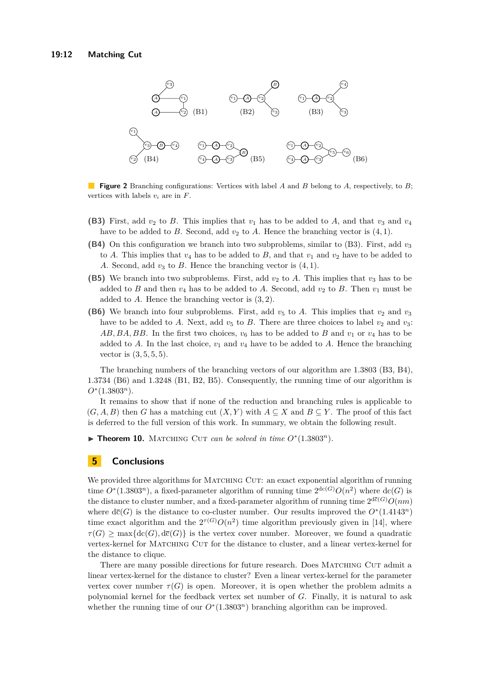<span id="page-11-0"></span>

**Figure 2** Branching configurations: Vertices with label *A* and *B* belong to *A*, respectively, to *B*; vertices with labels *v<sup>i</sup>* are in *F*.

- **(B3)** First, add  $v_2$  to *B*. This implies that  $v_1$  has to be added to *A*, and that  $v_3$  and  $v_4$ have to be added to *B*. Second, add  $v_2$  to *A*. Hence the branching vector is  $(4, 1)$ .
- **(B4)** On this configuration we branch into two subproblems, similar to (B3). First, add *v*<sup>3</sup> to *A*. This implies that  $v_4$  has to be added to *B*, and that  $v_1$  and  $v_2$  have to be added to *A*. Second, add  $v_3$  to *B*. Hence the branching vector is  $(4, 1)$ .
- **(B5)** We branch into two subproblems. First, add  $v_2$  to A. This implies that  $v_3$  has to be added to *B* and then  $v_4$  has to be added to *A*. Second, add  $v_2$  to *B*. Then  $v_1$  must be added to *A*. Hence the branching vector is (3*,* 2).
- **(B6)** We branch into four subproblems. First, add  $v_5$  to A. This implies that  $v_2$  and  $v_3$ have to be added to *A*. Next, add  $v_5$  to *B*. There are three choices to label  $v_2$  and  $v_3$ :  $AB, BA, BB$ . In the first two choices,  $v_6$  has to be added to *B* and  $v_1$  or  $v_4$  has to be added to *A*. In the last choice,  $v_1$  and  $v_4$  have to be added to *A*. Hence the branching vector is (3*,* 5*,* 5*,* 5).

The branching numbers of the branching vectors of our algorithm are 1*.*3803 (B3, B4), 1*.*3734 (B6) and 1*.*3248 (B1, B2, B5). Consequently, the running time of our algorithm is *O*<sup>∗</sup> (1*.*3803*<sup>n</sup>*).

It remains to show that if none of the reduction and branching rules is applicable to  $(G, A, B)$  then *G* has a matching cut  $(X, Y)$  with  $A \subseteq X$  and  $B \subseteq Y$ . The proof of this fact is deferred to the full version of this work. In summary, we obtain the following result.

▶ Theorem 10. MATCHING CUT *can be solved in time*  $O<sup>*</sup>(1.3803<sup>n</sup>)$ *.* 

### **5 Conclusions**

We provided three algorithms for MATCHING CUT: an exact exponential algorithm of running time  $O^*(1.3803^n)$ , a fixed-parameter algorithm of running time  $2^{dc(G)}O(n^2)$  where  $dc(G)$  is the distance to cluster number, and a fixed-parameter algorithm of running time  $2^{d\bar{c}(G)}O(nm)$ where  $d\bar{c}(G)$  is the distance to co-cluster number. Our results improved the  $O<sup>*</sup>(1.4143<sup>n</sup>)$ time exact algorithm and the  $2^{\tau(G)}O(n^2)$  time algorithm previously given in [\[14\]](#page-12-8), where  $\tau(G)$  > max{dc(*G*), dc(*G*)} is the vertex cover number. Moreover, we found a quadratic vertex-kernel for Matching Cut for the distance to cluster, and a linear vertex-kernel for the distance to clique.

There are many possible directions for future research. Does MATCHING CUT admit a linear vertex-kernel for the distance to cluster? Even a linear vertex-kernel for the parameter vertex cover number  $\tau(G)$  is open. Moreover, it is open whether the problem admits a polynomial kernel for the feedback vertex set number of *G*. Finally, it is natural to ask whether the running time of our  $O<sup>*</sup>(1.3803<sup>n</sup>)$  branching algorithm can be improved.